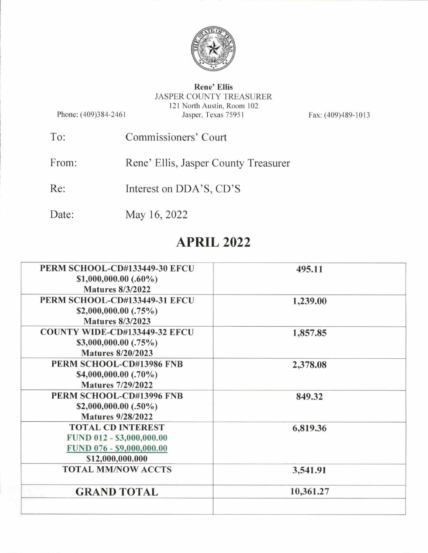

## Rene^ Ellis JASPER COUNTY TREASURER 121 North Austin, Room 102 Jasper. Texas 75951

Phone: (409)384-2461

Fax: (409)489-1013

- To: Commissioners' Court
- From: Rene' Ellis, Jasper County Treasurer
- Re: Interest on DDA'S, CD'S
- Date: May 16, 2022

# APRIL 2022

| PERM SCHOOL-CD#133449-30 EFCU                 | 495.11    |
|-----------------------------------------------|-----------|
| \$1,000,000.00 $(.60\%)$                      |           |
| <b>Matures 8/3/2022</b>                       |           |
| PERM SCHOOL-CD#133449-31 EFCU                 | 1,239.00  |
| \$2,000,000.00 $(.75\%)$                      |           |
| <b>Matures 8/3/2023</b>                       |           |
| <b>COUNTY WIDE-CD#133449-32 EFCU</b>          | 1,857.85  |
| \$3,000,000.00 $(.75\%)$                      |           |
| <b>Matures 8/20/2023</b>                      |           |
| PERM SCHOOL-CD#13986 FNB                      | 2,378.08  |
| \$4,000,000.00 (.70%)                         |           |
| <b>Matures 7/29/2022</b>                      |           |
| PERM SCHOOL-CD#13996 FNB                      | 849.32    |
| \$2,000,000.00 $(.50\%)$                      |           |
| <b>Matures 9/28/2022</b>                      |           |
| <b>TOTAL CD INTEREST</b>                      | 6,819.36  |
| FUND 012 - \$3,000,000.00                     |           |
| FUND 076 - \$9,000,000.00                     |           |
| \$12,000,000.000<br><b>TOTAL MM/NOW ACCTS</b> |           |
|                                               | 3,541.91  |
| <b>GRAND TOTAL</b>                            | 10,361.27 |
|                                               |           |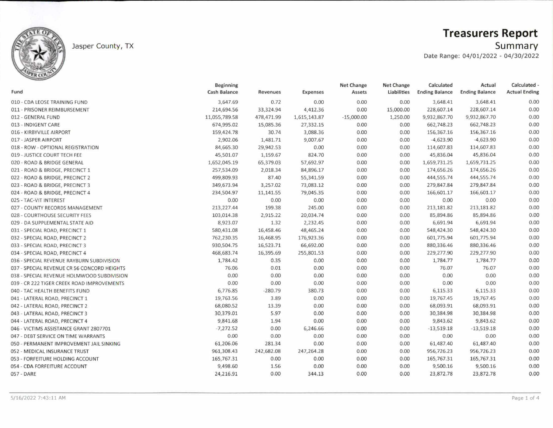

## Jasper County, TX

# Treasurers Report

Summary

Date Range: 04/01/2022 - 04/30/2022

|                                             | <b>Beginning</b> |            |              | Net Change   | <b>Net Change</b> | Calculated            | Actual                | Calculated -         |
|---------------------------------------------|------------------|------------|--------------|--------------|-------------------|-----------------------|-----------------------|----------------------|
| Fund                                        | Cash Balance     | Revenues   | Expenses     | Assets       | Liabilities       | <b>Ending Balance</b> | <b>Ending Balance</b> | <b>Actual Ending</b> |
| 010 - CDA LEOSE TRAINING FUND               | 3,647.69         | 0.72       | 0.00         | 0.00         | 0.00              | 3,648.41              | 3,648.41              | 0.00                 |
| 011 - PRISONER REIMBURSEMENT                | 214,694.56       | 33,324.94  | 4,412.36     | 0.00         | 15,000.00         | 228,607.14            | 228,607.14            | 0.00                 |
| 012 - GENERAL FUND                          | 11,055,789.58    | 478,471.99 | 1,615,143.87 | $-15,000.00$ | 1,250.00          | 9,932,867.70          | 9,932,867.70          | 0.00                 |
| 013 - INDIGENT CARE                         | 674,995.02       | 15,085.36  | 27,332.15    | 0.00         | 0.00              | 662,748.23            | 662,748.23            | 0.00                 |
| 016 - KIRBYVILLE AIRPORT                    | 159,424.78       | 30.74      | 3,088.36     | 0.00         | 0.00              | 156,367.16            | 156,367.16            | 0.00                 |
| 017 - JASPER AIRPORT                        | 2,902.06         | 1,481.71   | 9,007.67     | 0.00         | 0.00              | $-4,623.90$           | $-4,623.90$           | 0.00                 |
| 018 - ROW - OPTIONAL REGISTRATION           | 84,665.30        | 29,942.53  | 0.00         | 0.00         | 0.00              | 114,607.83            | 114,607.83            | 0.00                 |
| 019 - JUSTICE COURT TECH FEE                | 45,501.07        | 1,159.67   | 824.70       | 0.00         | 0.00              | 45,836.04             | 45,836.04             | 0.00                 |
| 020 - ROAD & BRIDGE GENERAL                 | 1,652,045.19     | 65,379.03  | 57,692.97    | 0.00         | 0.00              | 1,659,731.25          | 1,659,731.25          | 0.00                 |
| 021 - ROAD & BRIDGE, PRECINCT 1             | 257,534.09       | 2,018.34   | 84,896.17    | 0.00         | 0.00              | 174,656.26            | 174,656.26            | 0.00                 |
| 022 - ROAD & BRIDGE, PRECINCT 2             | 499,809.93       | 87.40      | 55,341.59    | 0.00         | 0.00              | 444,555.74            | 444,555.74            | 0.00                 |
| 023 - ROAD & BRIDGE, PRECINCT 3             | 349,673.94       | 3,257.02   | 73,083.12    | 0.00         | 0.00              | 279,847.84            | 279,847.84            | 0.00                 |
| 024 - ROAD & BRIDGE, PRECINCT 4             | 234,504.97       | 11,141.55  | 79,045.35    | 0.00         | 0.00              | 166,601.17            | 166,601.17            | 0.00                 |
| 025 - TAC-VIT INTEREST                      | 0.00             | 0.00       | 0.00         | 0.00         | 0.00              | 0.00                  | 0.00                  | 0.00                 |
| 027 - COUNTY RECORDS MANAGEMENT             | 213, 227.44      | 199.38     | 245.00       | 0.00         | 0.00              | 213, 181.82           | 213,181.82            | 0.00                 |
| 028 - COURTHOUSE SECURITY FEES              | 103,014.38       | 2,915.22   | 20,034.74    | 0.00         | 0.00              | 85,894.86             | 85,894.86             | 0.00                 |
| 029 - DA SUPPLEMENTAL STATE AID             | 8,923.07         | 1.32       | 2,232.45     | 0.00         | 0.00              | 6,691.94              | 6,691.94              | 0.00                 |
| 031 - SPECIAL ROAD, PRECINCT 1              | 580,431.08       | 16,458.46  | 48,465.24    | 0.00         | 0.00              | 548,424.30            | 548,424.30            | 0.00                 |
| 032 - SPECIAL ROAD, PRECINCT 2              | 762,230.35       | 16,468.95  | 176,923.36   | 0.00         | 0.00              | 601,775.94            | 601,775.94            | 0.00                 |
| 033 - SPECIAL ROAD, PRECINCT 3              | 930,504.75       | 16,523.71  | 66,692.00    | 0.00         | 0.00              | 880,336.46            | 880,336.46            | 0.00                 |
| 034 - SPECIAL ROAD, PRECINCT 4              | 468,683.74       | 16,395.69  | 255,801.53   | 0.00         | 0.00              | 229,277.90            | 229,277.90            | 0.00                 |
| 036 - SPECIAL REVENUE RAYBURN SUBDIVISION   | 1,784.42         | 0.35       | 0.00         | 0.00         | 0.00              | 1,784.77              | 1,784.77              | 0.00                 |
| 037 - SPECIAL REVENUE CR 56 CONCORD HEIGHTS | 76.06            | 0.01       | 0.00         | 0.00         | 0.00              | 76.07                 | 76.07                 | 0.00                 |
| 038 - SPECIAL REVENUE HOLMWOOD SUBDIVISION  | 0.00             | 0.00       | 0.00         | 0.00         | 0.00              | 0.00                  | 0.00                  | 0.00                 |
| 039 - CR 222 TIGER CREEK ROAD IMPROVEMENTS  | 0.00             | 0.00       | 0.00         | 0.00         | 0.00              | 0.00                  | 0.00                  | 0.00                 |
| 040 - TAC HEALTH BENEFITS FUND              | 6,776.85         | $-280.79$  | 380.73       | 0.00         | 0.00              | 6,115.33              | 6,115.33              | 0.00                 |
| 041 - LATERAL ROAD, PRECINCT 1              | 19,763.56        | 3.89       | 0.00         | 0.00         | 0.00              | 19,767.45             | 19,767.45             | 0.00                 |
| 042 - LATERAL ROAD, PRECINCT 2              | 68,080.52        | 13.39      | 0.00         | 0.00         | 0.00              | 68,093.91             | 68,093.91             | 0.00                 |
| 043 - LATERAL ROAD, PRECINCT 3              | 30,379.01        | 5.97       | 0.00         | 0.00         | 0.00              | 30,384.98             | 30,384.98             | 0.00                 |
| 044 - LATERAL ROAD, PRECINCT 4              | 9,841.68         | 1.94       | 0.00         | 0.00         | 0.00              | 9,843.62              | 9,843.62              | 0.00                 |
| 046 - VICTIMS ASSISTANCE GRANT 2807701      | $-7,272.52$      | 0.00       | 6,246.66     | 0.00         | 0.00              | $-13,519.18$          | $-13,519.18$          | 0.00                 |
| 047 - DEBT SERVICE ON TIME WARRANTS         | 0.00             | 0.00       | 0.00         | 0.00         | 0.00              | 0.00                  | 0.00                  | 0.00                 |
| 050 - PERMANENT IMPROVEMENT JAIL SINKING    | 61,206.06        | 281.34     | 0.00         | 0.00         | 0.00              | 61,487.40             | 61,487.40             | 0.00                 |
| 052 - MEDICAL INSURANCE TRUST               | 961,308.43       | 242,682.08 | 247,264.28   | 0.00         | 0.00              | 956,726.23            | 956,726.23            | 0.00                 |
| 053 - FORFEITURE HOLDING ACCOUNT            | 165,767.31       | 0.00       | 0.00         | 0.00         | 0.00              | 165,767.31            | 165,767.31            | 0.00                 |
| 054 - CDA FORFEITURE ACCOUNT                | 9,498.60         | 1.56       | 0.00         | 0.00         | 0.00              | 9,500.16              | 9,500.16              | 0.00                 |
| 057 - DARE                                  | 24,216.91        | 0.00       | 344.13       | 0.00         | 0.00              | 23,872.78             | 23,872.78             | 0.00                 |
|                                             |                  |            |              |              |                   |                       |                       |                      |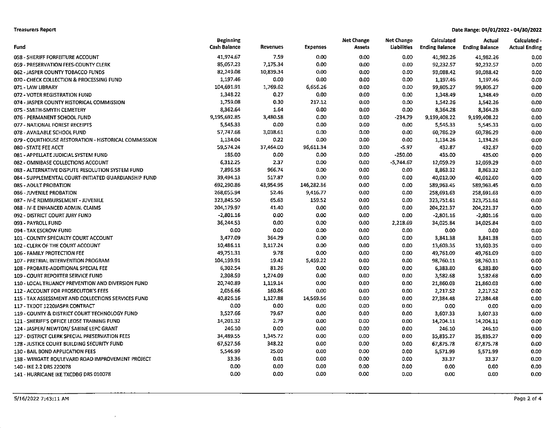### **Treasurers Report**

### Date Range: 04/01/2022 - 04/30/2022

|                                                      | <b>Beginning</b>    |                 |                 | <b>Net Change</b> | <b>Net Change</b> | Calculated            | Actual                | Calculated -         |
|------------------------------------------------------|---------------------|-----------------|-----------------|-------------------|-------------------|-----------------------|-----------------------|----------------------|
| Fund                                                 | <b>Cash Balance</b> | <b>Revenues</b> | <b>Expenses</b> | Assets            | Liabilities       | <b>Ending Balance</b> | <b>Ending Balance</b> | <b>Actual Ending</b> |
| 058 - SHERIFF FORFEITURE ACCOUNT                     | 41,974.67           | 7.59            | 0.00            | 0.00              | 0.00              | 41,982.26             | 41,982.26             | 0.00                 |
| 059 - PRESERVATION FEES-COUNTY CLERK                 | 85,057.23           | 7,175.34        | 0.00            | 0.00              | 0.00              | 92,232.57             | 92,232.57             | 0.00                 |
| 062 - JASPER COUNTY TOBACCO FUNDS                    | 82,249.08           | 10,839.34       | 0.00            | 0.00              | 0.00              | 93,088.42             | 93,088.42             | 0.00                 |
| 070 - CHECK COLLECTION & PROCESSING FUND             | 1,197.46            | 0.00            | 0.00            | 0.00              | 0.00              | 1,197.46              | 1,197.46              | 0.00                 |
| 071 - LAW LIBRARY                                    | 104,691.91          | 1,769.62        | 6,656.26        | 0.00              | 0.00              | 99,805.27             | 99,805.27             | 0.00                 |
| 072 - VOTER REGISTRATION FUND                        | 1,348.22            | 0.27            | 0.00            | 0.00              | 0.00              | 1,348.49              | 1,348.49              | 0.00                 |
| 074 - JASPER COUNTY HISTORICAL COMMISSION            | 1,759.08            | 0.30            | 217.12          | 0.00              | 0.00              | 1,542.26              | 1,542.26              | 0.00                 |
| 075 - SMITH-SMYTH CEMETERY                           | 8,362.64            | 1.64            | 0.00            | 0.00              | 0.00              | 8,364.28              | 8,364.28              | 0.00                 |
| 076 - PERMANENT SCHOOL FUND                          | 9.195,692.85        | 3,480.58        | 0.00            | 0.00              | $-234.79$         | 9,199,408.22          | 9,199,408.22          | 0.00                 |
| 077 - NATIONAL FOREST RECEIPTS                       | 5,545.33            | 0.00            | 0.00            | 0.00              | 0.00              | 5,545.33              | 5,545.33              | 0.00                 |
| 078 - AVAILABLE SCHOOL FUND                          | 57,747.68           | 3,038.61        | 0.00            | 0.00              | 0.00              | 60,786.29             | 60,786.29             | 0.00                 |
| 079 - COURTHOUSE RESTORATION - HISTORICAL COMMISSION | 1,134.04            | 0.22            | 0.00            | 0.00              | 0.00              | 1,134.26              | 1,134.26              | 0.00                 |
| 080 - STATE FEE ACCT                                 | 59,574.24           | 37,464.00       | 96,611.34       | 0.00              | $-5.97$           | 432.87                | 432.87                | 0.00                 |
| 081 - APPELLATE JUDICIAL SYSTEM FUND                 | 185.00              | 0.00            | 0.00            | 0.00              | $-250.00$         | 435.00                | 435.00                | 0.00                 |
| 082 - OMNIBASE COLLECTIONS ACCOUNT                   | 6,312.25            | 2.37            | 0.00            | 0.00              | $-5,744.67$       | 12,059.29             | 12,059.29             | 0.00                 |
| 083 - ALTERNATIVE DISPUTE RESOLUTION SYSTEM FUND     | 7,896.58            | 966.74          | 0.00            | 0.00              | 0.00              | 8,863.32              | 8,863.32              | 0.00                 |
| 084 - SUPPLEMENTAL COURT-INITIATED GUARDIANSHIP FUND | 39,494.13           | 517.87          | 0.00            | 0.00              | 0.00              | 40,012.00             | 40,012.00             | 0.00                 |
| 085 - ADULT PROBATION                                | 692,290.86          | 43,954.95       | 146,282.36      | 0.00              | 0.00              | 589,963.45            | 589,963.45            | 0.00                 |
| 086 - JUVENILE PROBATION                             | 268,055.94          | 52.46           | 9,416.77        | 0.00              | 0.00              | 258,691.63            | 258,691.63            | 0.00                 |
| 087 - IV-E REIMBURSEMENT - JUVENILE                  | 323,845.50          | 65.63           | 159.52          | 0.00              | 0.00              | 323,751.61            | 323,751.61            | 0.00                 |
| 088 - IV-E ENHANCED ADMIN. CLAIMS                    | 204,179.97          | 41.40           | 0.00            | 0.00              | 0.00              | 204,221.37            | 204,221.37            | 0.00                 |
| 092 - DISTRICT COURT JURY FUND                       | $-2,801.16$         | 0.00            | 0.00            | 0.00              | 0.00              | $-2,801.16$           | $-2,801.16$           | 0.00                 |
| 093 - PAYROLL FUND                                   | 36,244.53           | 0.00            | 0.00            | 0.00              | 2,218.69          | 34,025.84             | 34,025.84             | 0.00                 |
| 094 - TAX ESCROW FUND                                | 0.00                | 0.00            | 0.00            | 0.00              | 0.00              | 0.00                  | 0.00                  | 0.00                 |
| 101 - COUNTY SPECIALTY COURT ACCOUNT                 | 3,477.09            | 364 29          | 0.00            | 0.00              | 0.00              | 3,841.38              | 3,841.38              | 0.00                 |
| 102 - CLERK OF THE COURT ACCOUNT                     | 10,486.11           | 3,117.24        | 0.00            | 0.00              | 0.00              | 13,603.35             | 13,603.35             | 0.00                 |
| 106 - FAMILY PROTECTION FEE                          | 49,751.31           | 9.78            | 0.00            | 0.00              | 0.00              | 49,761.09             | 49,761.09             | 0.00                 |
| 107 - PRETRIAL INTERVENTION PROGRAM                  | 104,199.91          | 19.42           | 5,459.22        | 0.00              | 0.00              | 98,760.11             | 98,760.11             | 0.00                 |
| 108 - PROBATE-ADDITIONAL SPECIAL FEE                 | 6,302.54            | 81.26           | 0.00            | 0.00              | 0.00              | 6,383.80              | 6,383.80              | 0.00                 |
| 109 - COURT REPORTER SERVICE FUND                    | 2,308.59            | 1,274.09        | 0.00            | 0.00              | 0.00              | 3,582.68              | 3,582.68              | 0.00                 |
| 110 - LOCAL TRUANCY PREVENTION AND DIVERSION FUND    | 20,740.89           | 1,119.14        | 0.00            | 0.00              | 0.00              | 21,860.03             | 21,860.03             | 0.00                 |
| 112 - ACCOUNT FOR PROSECUTOR'S FEES                  | 2,056.66            | 160.86          | 0.00            | 0.00              | 0.00              | 2,217.52              | 2,217.52              | 0.00                 |
| 115 - TAX ASSESSMENT AND COLLECTIONS SERVICES FUND   | 40,826.16           | 1,127.88        | 14,569.56       | 0.00              | 0.00              | 27,384.48             | 27,384.48             | 0.00                 |
| 117 - TXDOT 1220JASPR CONTRACT                       | 0.00                | 0.00            | 0.00            | 0.00              | 0.00              | 0.00                  | 0.00                  | 0.00                 |
| 119 - COUNTY & DISTRICT COURT TECHNOLOGY FUND        | 3,527.66            | 79.67           | 0.00            | 0.00              | 0.00              | 3,607.33              | 3,607.33              | 0.00                 |
| 121 - SHERIFF'S OFFICE LEOSE TRAINING FUND           | 14,201.32           | 2.79            | 0.00            | 0.00              | 0.00              | 14,204.11             | 14,204.11             | 0.00                 |
| 124 - JASPER/ NEWTON/ SABINE LEPC GRANT              | 246.10              | 0.00            | 0.00            | 0.00              | 0.00              | 246.10                | 246.10                | 0.00                 |
| 127 - DISTRICT CLERK SPECIAL PRESERVATION FEES       | 34,489.55           | 1,345.72        | 0.00            | 0.00              | 0.00              | 35,835.27             | 35,835.27             | 0.00                 |
| 128 - JUSTICE COURT BUILDING SECURITY FUND           | 67,527.56           | 348.22          | 0.00            | 0.00              | 0.00              | 67,875.78             | 67,875.78             | 0.00                 |
| 130 - BAIL BOND APPLICATION FEES                     | 5,546.99            | 25.00           | 0.00            | 0.00              | 0.00              | 5,571.99              | 5,571.99              | 0.00                 |
| 138 - WINGATE BOULEVARD ROAD IMPROVEMENT PROJECT     | 33.36               | 0.01            | 0.00            | 0.00              | 0.00              | 33.37                 | 33.37                 | 0.00                 |
| 140 - IKE 2.2 DRS 220078                             | 0.00                | 0.00            | 0.00            | 0.00              | 0.00              | 0.00                  | 0.00                  | 0.00                 |
| 141 - HURRICANE IKE TXCDBG DRS 010078                | 0.00                | 0.00            | 0.00            | 0.00              | 0.00              | 0.00                  | 0.00                  | 0.00                 |

 $\sim$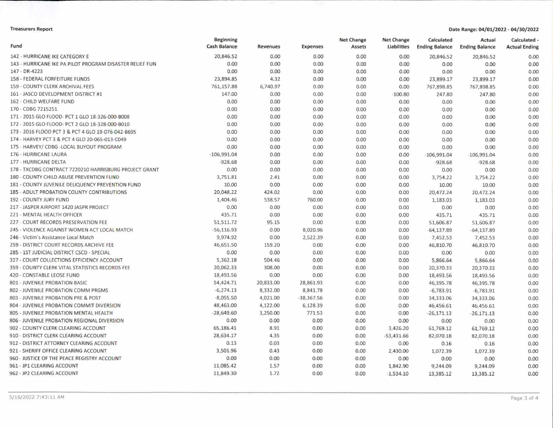### Treasurers Report Date Range; 04/01/2022 • 04/30/2022

| Fund                                                     | <b>Beginning</b><br><b>Cash Balance</b> | Revenues  | <b>Expenses</b> | <b>Net Change</b><br>Assets | <b>Net Change</b><br>Liabilities | Calculated<br><b>Ending Balance</b> | Actual<br><b>Ending Balance</b> | Calculated<br><b>Actual Ending</b> |
|----------------------------------------------------------|-----------------------------------------|-----------|-----------------|-----------------------------|----------------------------------|-------------------------------------|---------------------------------|------------------------------------|
| 142 - HURRICANE IKE CATEGORY E                           | 20,846.52                               | 0.00      | 0.00            | 0.00                        | 0.00                             | 20,846.52                           | 20,846.52                       | 0.00                               |
| 143 - HURRICANE IKE PA PILOT PROGRAM DISASTER RELIEF FUN | 0.00                                    | 0.00      | 0.00            | 0.00                        | 0.00                             | 0.00                                | 0.00                            | 0.00                               |
| 147 - DR-4223                                            | 0.00                                    | 0.00      | 0.00            | 0.00                        | 0.00                             | 0.00                                | 0.00                            | 0.00                               |
| 158 - FEDERAL FORFEITURE FUNDS                           | 23,894.85                               | 4.32      | 0.00            | 0.00                        | 0.00                             | 23,899.17                           | 23,899.17                       | 0.00                               |
| 159 - COUNTY CLERK ARCHIVAL FEES                         | 761,157.88                              | 6,740.97  | 0.00            | 0.00                        | 0.00                             | 767,898.85                          | 767,898.85                      | 0.00                               |
| 161 - JASCO DEVELOPMENT DISTRICT #1                      | 147.00                                  | 0.00      | 0.00            | 0.00                        | $-100.80$                        | 247.80                              | 247.80                          | 0.00                               |
| 162 - CHILD WELFARE FUND                                 | 0.00                                    | 0.00      | 0.00            | 0.00                        | 0.00                             | 0.00                                | 0.00                            | 0.00                               |
| 170 - CDBG 7215251                                       | 0.00                                    | 0.00      | 0.00            | 0.00                        | 0.00                             | 0.00                                | 0.00                            | 0.00                               |
| 171 - 2015 GLO FLOOD- PCT 1 GLO 18-326-000-B008          | 0.00                                    | 0.00      | 0.00            | 0.00                        | 0.00                             | 0.00                                | 0.00                            | 0.00                               |
| 172 - 2015 GLO FLOOD- PCT 2 GLO 18-328-000-B010          | 0.00                                    | 0.00      | 0.00            | 0.00                        | 0.00                             | 0.00                                | 0.00                            | 0.00                               |
| 173 - 2016 FLOOD PCT 3 & PCT 4 GLO 19-076-042-B695       | 0.00                                    | 0.00      | 0.00            | 0.00                        | 0.00                             | 0.00                                | 0.00                            | 0.00                               |
| 174 - HARVEY PCT 3 & PCT 4 GLO 20-065-013-C049           | 0.00                                    | 0.00      | 0.00            | 0.00                        | 0.00                             | 0.00                                | 0.00                            | 0.00                               |
| 175 - HARVEY/ CDBG - LOCAL BUYOUT PROGRAM                | 0.00                                    | 0.00      | 0.00            | 0.00                        | 0.00                             | 0.00                                | 0.00                            | 0.00                               |
| 176 - HURRICANE LAURA                                    | $-106,991.04$                           | 0.00      | 0.00            | 0.00                        | 0.00                             | $-106,991.04$                       | $-106,991.04$                   | 0.00                               |
| 177 - HURRICANE DELTA                                    | $-928.68$                               | 0.00      | 0.00            | 0.00                        | 0.00                             | $-928.68$                           | $-928.68$                       | 0.00                               |
| 178 - TXCDBG CONTRACT 7220210 HARRISBURG PROJECT GRANT   | 0.00                                    | 0.00      | 0.00            | 0.00                        | 0.00                             | 0.00                                | 0.00                            | 0.00                               |
| 180 - COUNTY CHILD ABUSE PREVENTION FUND                 | 3,751.81                                | 2.41      | 0.00            | 0.00                        | 0.00                             | 3,754.22                            | 3,754.22                        | 0.00                               |
| 181 - COUNTY JUVENILE DELIQUENCY PREVENTION FUND         | 10.00                                   | 0.00      | 0.00            | 0.00                        | 0.00                             | 10.00                               | 10.00                           | 0.00                               |
| 185 - ADULT PROBATION COUNTY CONTRIBUTIONS               | 20,048.22                               | 424.02    | 0.00            | 0.00                        | 0.00                             | 20,472.24                           | 20,472.24                       | 0.00                               |
| 192 - COUNTY JURY FUND                                   | 1,404.46                                | 538.57    | 760.00          | 0.00                        | 0.00                             | 1,183.03                            | 1,183.03                        | 0.00                               |
| 217 - JASPER AIRPORT 1420 JASPR PROJECT                  | 0.00                                    | 0.00      | 0.00            | 0.00                        | 0.00                             | 0.00                                | 0.00                            | 0.00                               |
| 221 - MENTAL HEALTH OFFICER                              | 435.71                                  | 0.00      | 0.00            | 0.00                        | 0.00                             | 435.71                              | 435.71                          | 0.00                               |
| 227 - COURT RECORDS PRESERVATION FEE                     | 51,511.72                               | 95.15     | 0.00            | 0.00                        | 0.00                             | 51,606.87                           | 51,606.87                       | 0.00                               |
| 245 - VIOLENCE AGAINST WOMEN ACT LOCAL MATCH             | $-56, 116.93$                           | 0.00      | 8,020.96        | 0.00                        | 0.00                             | $-64, 137.89$                       | $-64, 137.89$                   | 0.00                               |
| 246 - Victim's Assistance Local Match                    | 9,974.92                                | 0.00      | 2,522.39        | 0.00                        | 0.00                             | 7,452.53                            | 7,452.53                        | 0.00                               |
| 259 - DISTRICT COURT RECORDS ARCHIVE FEE                 | 46,651.50                               | 159.20    | 0.00            | 0.00                        | 0.00                             | 46,810.70                           | 46,810.70                       | 0.00                               |
| 285 - 1ST JUDICIAL DISTRICT CSCD - SPECIAL               | 0.00                                    | 0.00      | 0.00            | 0.00                        | 0.00                             | 0.00                                | 0.00                            | 0.00                               |
| 327 - COURT COLLECTIONS EFFICIENCY ACCOUNT               | 5,362.18                                | 504.46    | 0.00            | 0.00                        | 0.00                             | 5,866.64                            | 5,866.64                        | 0.00                               |
| 359 - COUNTY CLERK VITAL STATISTICS RECORDS FEE          | 20,062.33                               | 308.00    | 0.00            | 0.00                        | 0.00                             | 20,370.33                           | 20,370.33                       | 0.00                               |
| 420 - CONSTABLE LEOSE FUND                               | 18,493.56                               | 0.00      | 0.00            | 0.00                        | 0.00                             | 18,493.56                           | 18,493.56                       | 0.00                               |
| 801 - JUVENILE PROBATION BASIC                           | 54,424.71                               | 20,833.00 | 28,861.93       | 0.00                        | 0.00                             | 46,395.78                           | 46,395.78                       | 0.00                               |
| 802 - JUVENILE PROBATION COMM PRGMS                      | $-6,274.13$                             | 8,332.00  | 8,841.78        | 0.00                        | 0.00                             | $-6,783.91$                         | $-6,783.91$                     | 0.00                               |
| 803 - JUVENILE PROBATION PRE & POST                      | $-8,055.50$                             | 4,021.00  | $-38,367.56$    | 0.00                        | 0.00                             | 34,333.06                           | 34,333.06                       | 0.00                               |
| 804 - JUVENILE PROBATION COMMIT DIVERSION                | 48,463.00                               | 4,122.00  | 6,128.39        | 0.00                        | 0.00                             | 46,456.61                           | 46,456.61                       | 0.00                               |
| 805 - JUVENILE PROBATION MENTAL HEALTH                   | $-28,649.60$                            | 3,250.00  | 771.53          | 0.00                        | 0.00                             | $-26,171.13$                        | $-26,171.13$                    | 0.00                               |
| 806 - JUVENILE PROBATION REGIONAL DIVERSION              | 0.00                                    | 0.00      | 0.00            | 0.00                        | 0.00                             | 0.00                                | 0.00                            | 0.00                               |
| 902 - COUNTY CLERK CLEARING ACCOUNT                      | 65,186.41                               | 8.91      | 0.00            | 0.00                        | 3,426.20                         | 61,769.12                           | 61,769.12                       | 0.00                               |
| 910 - DISTRICT CLERK CLEARING ACCOUNT                    | 28,634.17                               | 4.35      | 0.00            | 0.00                        | $-53,431.66$                     | 82,070.18                           | 82,070.18                       | 0.00                               |
| 912 - DISTRICT ATTORNEY CLEARING ACCOUNT                 | 0.13                                    | 0.03      | 0.00            | 0.00                        | 0.00                             | 0.16                                | 0.16                            | 0.00                               |
| 921 - SHERIFF OFFICE CLEARING ACCOUNT                    | 3,501.96                                | 0.43      | 0.00            | 0.00                        | 2,430.00                         | 1,072.39                            | 1,072.39                        | 0.00                               |
| 960 - JUSTICE OF THE PEACE REGISTRY ACCOUNT              | 0.00                                    | 0.00      | 0.00            | 0.00                        | 0.00                             | 0.00                                | 0.00                            | 0.00                               |
| 961 - JP1 CLEARING ACCOUNT                               | 11,085.42                               | 1.57      | 0.00            | 0.00                        | 1,842.90                         | 9,244.09                            | 9,244.09                        | 0.00                               |
| 962 - JP2 CLEARING ACCOUNT                               | 11,849.30                               | 1.72      | 0.00            | 0.00                        | $-1,534.10$                      | 13,385.12                           | 13,385.12                       | 0.00                               |